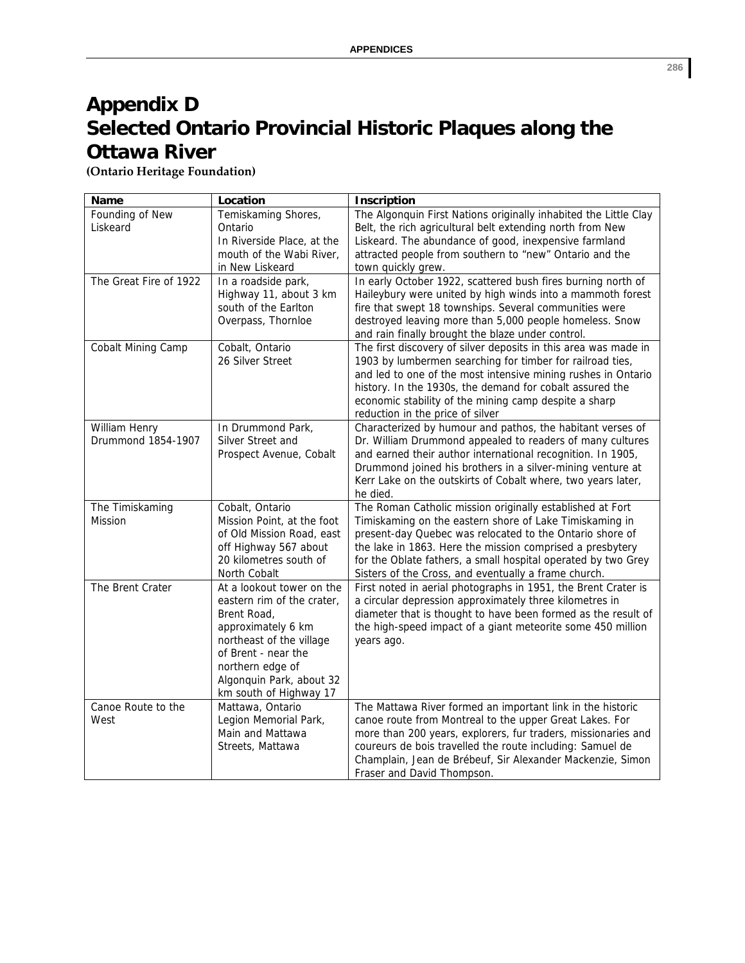## **Appendix D Selected Ontario Provincial Historic Plaques along the Ottawa River**

**(Ontario Heritage Foundation)**

| Name                                | Location                                                                                                                                                                                                                  | Inscription                                                                                                                                                                                                                                                                                                                                                            |
|-------------------------------------|---------------------------------------------------------------------------------------------------------------------------------------------------------------------------------------------------------------------------|------------------------------------------------------------------------------------------------------------------------------------------------------------------------------------------------------------------------------------------------------------------------------------------------------------------------------------------------------------------------|
| Founding of New<br>Liskeard         | Temiskaming Shores,<br>Ontario<br>In Riverside Place, at the<br>mouth of the Wabi River,<br>in New Liskeard                                                                                                               | The Algonquin First Nations originally inhabited the Little Clay<br>Belt, the rich agricultural belt extending north from New<br>Liskeard. The abundance of good, inexpensive farmland<br>attracted people from southern to "new" Ontario and the<br>town quickly grew.                                                                                                |
| The Great Fire of 1922              | In a roadside park,<br>Highway 11, about 3 km<br>south of the Earlton<br>Overpass, Thornloe                                                                                                                               | In early October 1922, scattered bush fires burning north of<br>Haileybury were united by high winds into a mammoth forest<br>fire that swept 18 townships. Several communities were<br>destroyed leaving more than 5,000 people homeless. Snow<br>and rain finally brought the blaze under control.                                                                   |
| Cobalt Mining Camp                  | Cobalt, Ontario<br>26 Silver Street                                                                                                                                                                                       | The first discovery of silver deposits in this area was made in<br>1903 by lumbermen searching for timber for railroad ties,<br>and led to one of the most intensive mining rushes in Ontario<br>history. In the 1930s, the demand for cobalt assured the<br>economic stability of the mining camp despite a sharp<br>reduction in the price of silver                 |
| William Henry<br>Drummond 1854-1907 | In Drummond Park,<br>Silver Street and<br>Prospect Avenue, Cobalt                                                                                                                                                         | Characterized by humour and pathos, the habitant verses of<br>Dr. William Drummond appealed to readers of many cultures<br>and earned their author international recognition. In 1905,<br>Drummond joined his brothers in a silver-mining venture at<br>Kerr Lake on the outskirts of Cobalt where, two years later,<br>he died.                                       |
| The Timiskaming<br><b>Mission</b>   | Cobalt, Ontario<br>Mission Point, at the foot<br>of Old Mission Road, east<br>off Highway 567 about<br>20 kilometres south of<br>North Cobalt                                                                             | The Roman Catholic mission originally established at Fort<br>Timiskaming on the eastern shore of Lake Timiskaming in<br>present-day Quebec was relocated to the Ontario shore of<br>the lake in 1863. Here the mission comprised a presbytery<br>for the Oblate fathers, a small hospital operated by two Grey<br>Sisters of the Cross, and eventually a frame church. |
| The Brent Crater                    | At a lookout tower on the<br>eastern rim of the crater,<br>Brent Road,<br>approximately 6 km<br>northeast of the village<br>of Brent - near the<br>northern edge of<br>Algonquin Park, about 32<br>km south of Highway 17 | First noted in aerial photographs in 1951, the Brent Crater is<br>a circular depression approximately three kilometres in<br>diameter that is thought to have been formed as the result of<br>the high-speed impact of a giant meteorite some 450 million<br>years ago.                                                                                                |
| Canoe Route to the<br>West          | Mattawa, Ontario<br>Legion Memorial Park,<br>Main and Mattawa<br>Streets, Mattawa                                                                                                                                         | The Mattawa River formed an important link in the historic<br>canoe route from Montreal to the upper Great Lakes. For<br>more than 200 years, explorers, fur traders, missionaries and<br>coureurs de bois travelled the route including: Samuel de<br>Champlain, Jean de Brébeuf, Sir Alexander Mackenzie, Simon<br>Fraser and David Thompson.                        |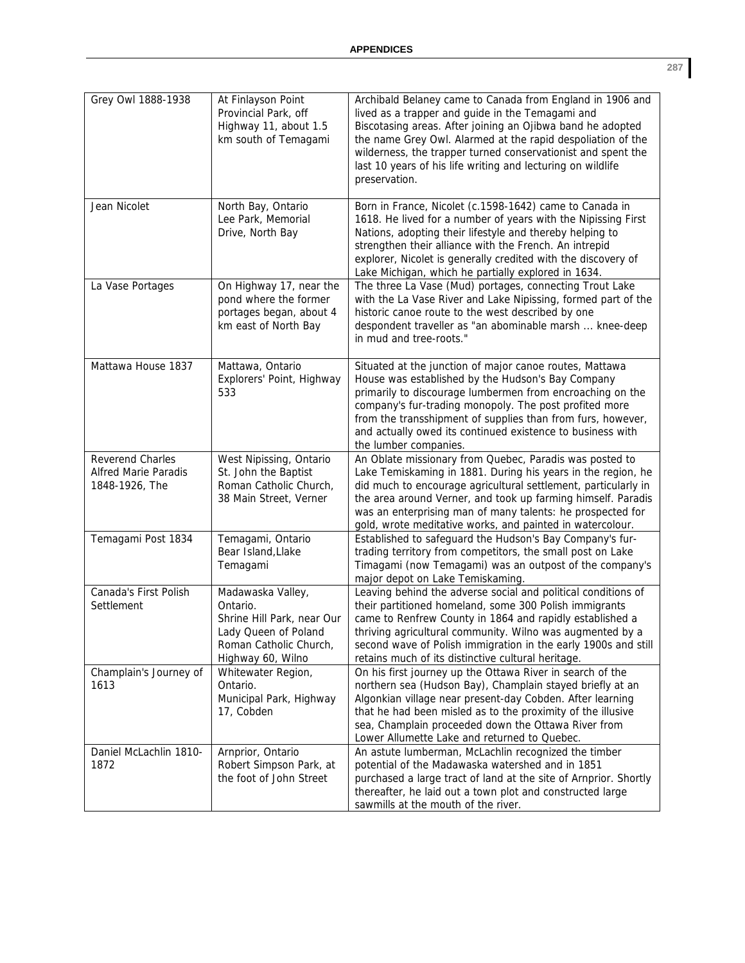| Grey Owl 1888-1938                                                | At Finlayson Point<br>Provincial Park, off<br>Highway 11, about 1.5<br>km south of Temagami                                        | Archibald Belaney came to Canada from England in 1906 and<br>lived as a trapper and guide in the Temagami and<br>Biscotasing areas. After joining an Ojibwa band he adopted<br>the name Grey Owl. Alarmed at the rapid despoliation of the<br>wilderness, the trapper turned conservationist and spent the<br>last 10 years of his life writing and lecturing on wildlife<br>preservation. |
|-------------------------------------------------------------------|------------------------------------------------------------------------------------------------------------------------------------|--------------------------------------------------------------------------------------------------------------------------------------------------------------------------------------------------------------------------------------------------------------------------------------------------------------------------------------------------------------------------------------------|
| Jean Nicolet                                                      | North Bay, Ontario<br>Lee Park, Memorial<br>Drive, North Bay                                                                       | Born in France, Nicolet (c.1598-1642) came to Canada in<br>1618. He lived for a number of years with the Nipissing First<br>Nations, adopting their lifestyle and thereby helping to<br>strengthen their alliance with the French. An intrepid<br>explorer, Nicolet is generally credited with the discovery of<br>Lake Michigan, which he partially explored in 1634.                     |
| La Vase Portages                                                  | On Highway 17, near the<br>pond where the former<br>portages began, about 4<br>km east of North Bay                                | The three La Vase (Mud) portages, connecting Trout Lake<br>with the La Vase River and Lake Nipissing, formed part of the<br>historic canoe route to the west described by one<br>despondent traveller as "an abominable marsh  knee-deep<br>in mud and tree-roots."                                                                                                                        |
| Mattawa House 1837                                                | Mattawa, Ontario<br>Explorers' Point, Highway<br>533                                                                               | Situated at the junction of major canoe routes, Mattawa<br>House was established by the Hudson's Bay Company<br>primarily to discourage lumbermen from encroaching on the<br>company's fur-trading monopoly. The post profited more<br>from the transshipment of supplies than from furs, however,<br>and actually owed its continued existence to business with<br>the lumber companies.  |
| Reverend Charles<br><b>Alfred Marie Paradis</b><br>1848-1926, The | West Nipissing, Ontario<br>St. John the Baptist<br>Roman Catholic Church,<br>38 Main Street, Verner                                | An Oblate missionary from Quebec, Paradis was posted to<br>Lake Temiskaming in 1881. During his years in the region, he<br>did much to encourage agricultural settlement, particularly in<br>the area around Verner, and took up farming himself. Paradis<br>was an enterprising man of many talents: he prospected for<br>gold, wrote meditative works, and painted in watercolour.       |
| Temagami Post 1834                                                | Temagami, Ontario<br>Bear Island, Llake<br>Temagami                                                                                | Established to safeguard the Hudson's Bay Company's fur-<br>trading territory from competitors, the small post on Lake<br>Timagami (now Temagami) was an outpost of the company's<br>major depot on Lake Temiskaming.                                                                                                                                                                      |
| Canada's First Polish<br>Settlement                               | Madawaska Valley,<br>Ontario.<br>Shrine Hill Park, near Our<br>Lady Queen of Poland<br>Roman Catholic Church,<br>Highway 60, Wilno | Leaving behind the adverse social and political conditions of<br>their partitioned homeland, some 300 Polish immigrants<br>came to Renfrew County in 1864 and rapidly established a<br>thriving agricultural community. Wilno was augmented by a<br>second wave of Polish immigration in the early 1900s and still<br>retains much of its distinctive cultural heritage.                   |
| Champlain's Journey of<br>1613                                    | Whitewater Region,<br>Ontario.<br>Municipal Park, Highway<br>17, Cobden                                                            | On his first journey up the Ottawa River in search of the<br>northern sea (Hudson Bay), Champlain stayed briefly at an<br>Algonkian village near present-day Cobden. After learning<br>that he had been misled as to the proximity of the illusive<br>sea, Champlain proceeded down the Ottawa River from<br>Lower Allumette Lake and returned to Quebec.                                  |
| Daniel McLachlin 1810-<br>1872                                    | Arnprior, Ontario<br>Robert Simpson Park, at<br>the foot of John Street                                                            | An astute lumberman, McLachlin recognized the timber<br>potential of the Madawaska watershed and in 1851<br>purchased a large tract of land at the site of Arnprior. Shortly<br>thereafter, he laid out a town plot and constructed large<br>sawmills at the mouth of the river.                                                                                                           |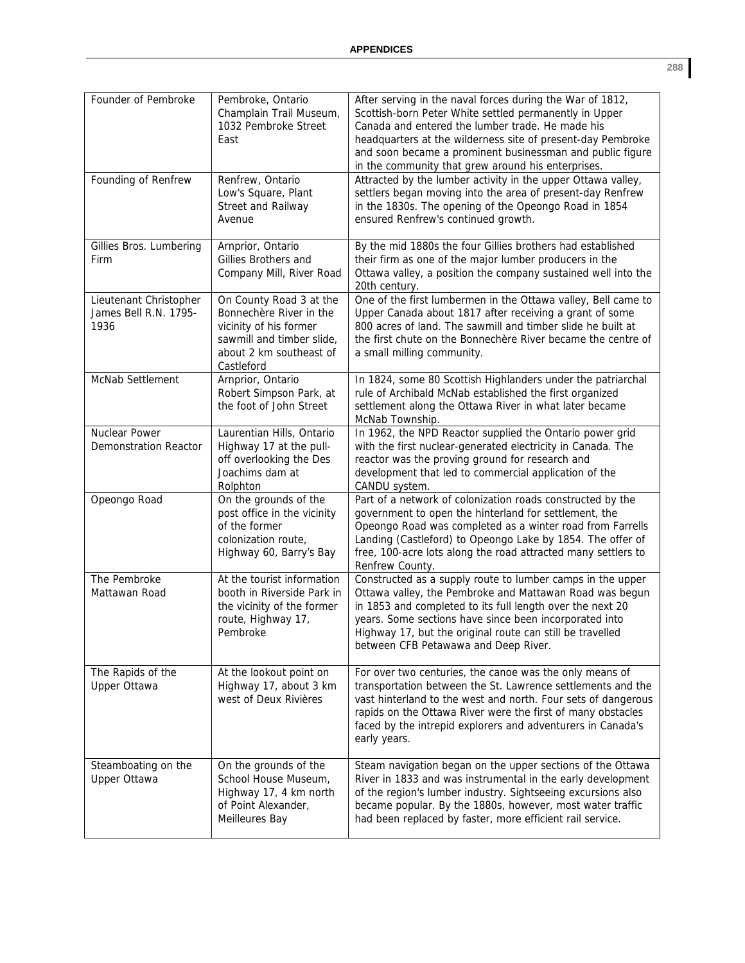| Founder of Pembroke                                     | Pembroke, Ontario<br>Champlain Trail Museum,<br>1032 Pembroke Street<br>East                                                                       | After serving in the naval forces during the War of 1812,<br>Scottish-born Peter White settled permanently in Upper<br>Canada and entered the lumber trade. He made his<br>headquarters at the wilderness site of present-day Pembroke<br>and soon became a prominent businessman and public figure<br>in the community that grew around his enterprises. |
|---------------------------------------------------------|----------------------------------------------------------------------------------------------------------------------------------------------------|-----------------------------------------------------------------------------------------------------------------------------------------------------------------------------------------------------------------------------------------------------------------------------------------------------------------------------------------------------------|
| Founding of Renfrew                                     | Renfrew, Ontario<br>Low's Square, Plant<br>Street and Railway<br>Avenue                                                                            | Attracted by the lumber activity in the upper Ottawa valley,<br>settlers began moving into the area of present-day Renfrew<br>in the 1830s. The opening of the Opeongo Road in 1854<br>ensured Renfrew's continued growth.                                                                                                                                |
| Gillies Bros. Lumbering<br>Firm                         | Arnprior, Ontario<br>Gillies Brothers and<br>Company Mill, River Road                                                                              | By the mid 1880s the four Gillies brothers had established<br>their firm as one of the major lumber producers in the<br>Ottawa valley, a position the company sustained well into the<br>20th century.                                                                                                                                                    |
| Lieutenant Christopher<br>James Bell R.N. 1795-<br>1936 | On County Road 3 at the<br>Bonnechère River in the<br>vicinity of his former<br>sawmill and timber slide,<br>about 2 km southeast of<br>Castleford | One of the first lumbermen in the Ottawa valley, Bell came to<br>Upper Canada about 1817 after receiving a grant of some<br>800 acres of land. The sawmill and timber slide he built at<br>the first chute on the Bonnechère River became the centre of<br>a small milling community.                                                                     |
| McNab Settlement                                        | Arnprior, Ontario<br>Robert Simpson Park, at<br>the foot of John Street                                                                            | In 1824, some 80 Scottish Highlanders under the patriarchal<br>rule of Archibald McNab established the first organized<br>settlement along the Ottawa River in what later became<br>McNab Township.                                                                                                                                                       |
| Nuclear Power<br><b>Demonstration Reactor</b>           | Laurentian Hills, Ontario<br>Highway 17 at the pull-<br>off overlooking the Des<br>Joachims dam at<br>Rolphton                                     | In 1962, the NPD Reactor supplied the Ontario power grid<br>with the first nuclear-generated electricity in Canada. The<br>reactor was the proving ground for research and<br>development that led to commercial application of the<br>CANDU system.                                                                                                      |
| Opeongo Road                                            | On the grounds of the<br>post office in the vicinity<br>of the former<br>colonization route,<br>Highway 60, Barry's Bay                            | Part of a network of colonization roads constructed by the<br>government to open the hinterland for settlement, the<br>Opeongo Road was completed as a winter road from Farrells<br>Landing (Castleford) to Opeongo Lake by 1854. The offer of<br>free, 100-acre lots along the road attracted many settlers to<br>Renfrew County.                        |
| The Pembroke<br>Mattawan Road                           | At the tourist information<br>booth in Riverside Park in<br>the vicinity of the former<br>route, Highway 17,<br>Pembroke                           | Constructed as a supply route to lumber camps in the upper<br>Ottawa valley, the Pembroke and Mattawan Road was begun<br>in 1853 and completed to its full length over the next 20<br>years. Some sections have since been incorporated into<br>Highway 17, but the original route can still be travelled<br>between CFB Petawawa and Deep River.         |
| The Rapids of the<br><b>Upper Ottawa</b>                | At the lookout point on<br>Highway 17, about 3 km<br>west of Deux Rivières                                                                         | For over two centuries, the canoe was the only means of<br>transportation between the St. Lawrence settlements and the<br>vast hinterland to the west and north. Four sets of dangerous<br>rapids on the Ottawa River were the first of many obstacles<br>faced by the intrepid explorers and adventurers in Canada's<br>early years.                     |
| Steamboating on the<br><b>Upper Ottawa</b>              | On the grounds of the<br>School House Museum,<br>Highway 17, 4 km north<br>of Point Alexander,<br>Meilleures Bay                                   | Steam navigation began on the upper sections of the Ottawa<br>River in 1833 and was instrumental in the early development<br>of the region's lumber industry. Sightseeing excursions also<br>became popular. By the 1880s, however, most water traffic<br>had been replaced by faster, more efficient rail service.                                       |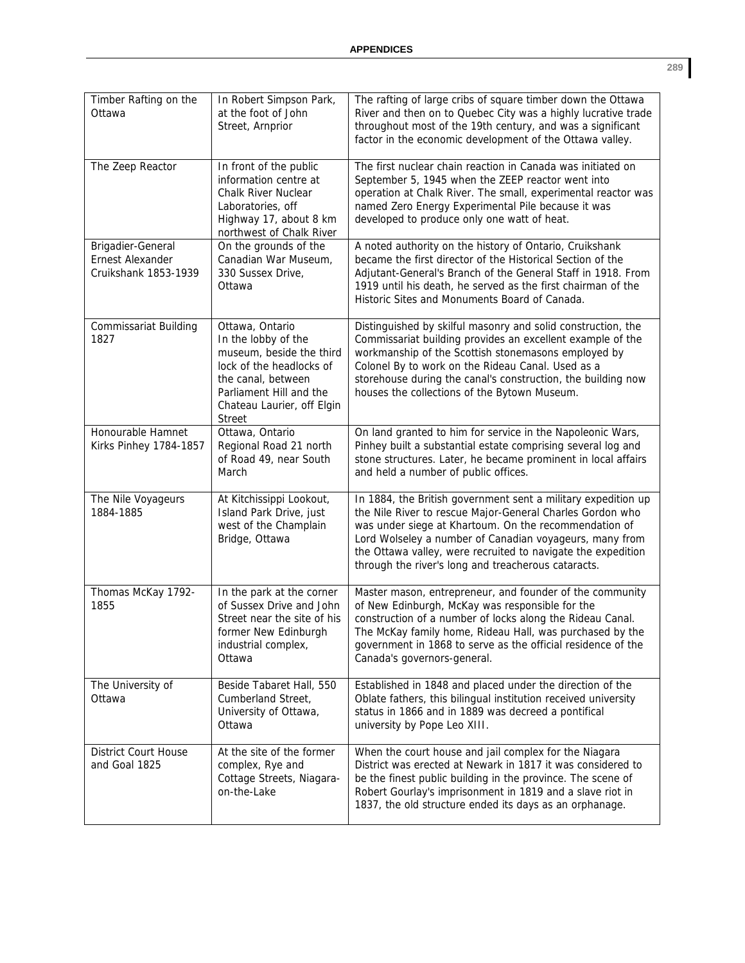| Timber Rafting on the<br>Ottawa                               | In Robert Simpson Park,<br>at the foot of John<br>Street, Arnprior                                                                                                                             | The rafting of large cribs of square timber down the Ottawa<br>River and then on to Quebec City was a highly lucrative trade<br>throughout most of the 19th century, and was a significant<br>factor in the economic development of the Ottawa valley.                                                                                                                |
|---------------------------------------------------------------|------------------------------------------------------------------------------------------------------------------------------------------------------------------------------------------------|-----------------------------------------------------------------------------------------------------------------------------------------------------------------------------------------------------------------------------------------------------------------------------------------------------------------------------------------------------------------------|
| The Zeep Reactor                                              | In front of the public<br>information centre at<br><b>Chalk River Nuclear</b><br>Laboratories, off<br>Highway 17, about 8 km<br>northwest of Chalk River                                       | The first nuclear chain reaction in Canada was initiated on<br>September 5, 1945 when the ZEEP reactor went into<br>operation at Chalk River. The small, experimental reactor was<br>named Zero Energy Experimental Pile because it was<br>developed to produce only one watt of heat.                                                                                |
| Brigadier-General<br>Ernest Alexander<br>Cruikshank 1853-1939 | On the grounds of the<br>Canadian War Museum,<br>330 Sussex Drive,<br>Ottawa                                                                                                                   | A noted authority on the history of Ontario, Cruikshank<br>became the first director of the Historical Section of the<br>Adjutant-General's Branch of the General Staff in 1918. From<br>1919 until his death, he served as the first chairman of the<br>Historic Sites and Monuments Board of Canada.                                                                |
| Commissariat Building<br>1827                                 | Ottawa, Ontario<br>In the lobby of the<br>museum, beside the third<br>lock of the headlocks of<br>the canal, between<br>Parliament Hill and the<br>Chateau Laurier, off Elgin<br><b>Street</b> | Distinguished by skilful masonry and solid construction, the<br>Commissariat building provides an excellent example of the<br>workmanship of the Scottish stonemasons employed by<br>Colonel By to work on the Rideau Canal. Used as a<br>storehouse during the canal's construction, the building now<br>houses the collections of the Bytown Museum.                |
| Honourable Hamnet<br>Kirks Pinhey 1784-1857                   | Ottawa, Ontario<br>Regional Road 21 north<br>of Road 49, near South<br>March                                                                                                                   | On land granted to him for service in the Napoleonic Wars,<br>Pinhey built a substantial estate comprising several log and<br>stone structures. Later, he became prominent in local affairs<br>and held a number of public offices.                                                                                                                                   |
| The Nile Voyageurs<br>1884-1885                               | At Kitchissippi Lookout,<br>Island Park Drive, just<br>west of the Champlain<br>Bridge, Ottawa                                                                                                 | In 1884, the British government sent a military expedition up<br>the Nile River to rescue Major-General Charles Gordon who<br>was under siege at Khartoum. On the recommendation of<br>Lord Wolseley a number of Canadian voyageurs, many from<br>the Ottawa valley, were recruited to navigate the expedition<br>through the river's long and treacherous cataracts. |
| Thomas McKay 1792-<br>1855                                    | In the park at the corner<br>of Sussex Drive and John<br>Street near the site of his<br>former New Edinburgh<br>industrial complex,<br>Ottawa                                                  | Master mason, entrepreneur, and founder of the community<br>of New Edinburgh, McKay was responsible for the<br>construction of a number of locks along the Rideau Canal.<br>The McKay family home, Rideau Hall, was purchased by the<br>government in 1868 to serve as the official residence of the<br>Canada's governors-general.                                   |
| The University of<br>Ottawa                                   | Beside Tabaret Hall, 550<br>Cumberland Street,<br>University of Ottawa,<br>Ottawa                                                                                                              | Established in 1848 and placed under the direction of the<br>Oblate fathers, this bilingual institution received university<br>status in 1866 and in 1889 was decreed a pontifical<br>university by Pope Leo XIII.                                                                                                                                                    |
| <b>District Court House</b><br>and Goal 1825                  | At the site of the former<br>complex, Rye and<br>Cottage Streets, Niagara-<br>on-the-Lake                                                                                                      | When the court house and jail complex for the Niagara<br>District was erected at Newark in 1817 it was considered to<br>be the finest public building in the province. The scene of<br>Robert Gourlay's imprisonment in 1819 and a slave riot in<br>1837, the old structure ended its days as an orphanage.                                                           |